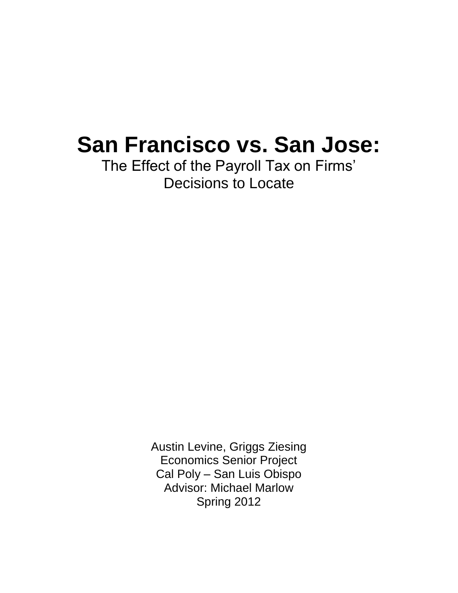# **San Francisco vs. San Jose:**

The Effect of the Payroll Tax on Firms' Decisions to Locate

> Austin Levine, Griggs Ziesing Economics Senior Project Cal Poly – San Luis Obispo Advisor: Michael Marlow Spring 2012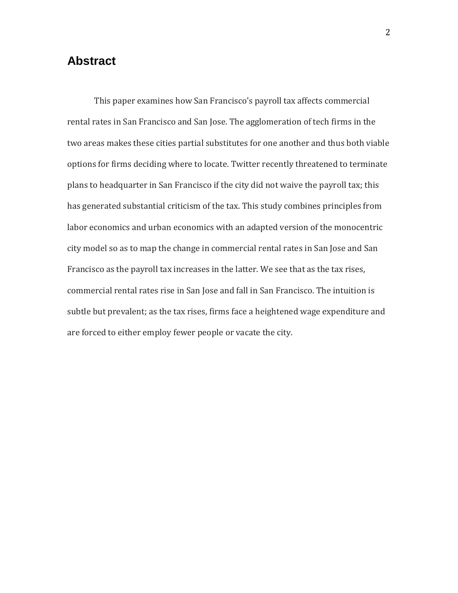# **Abstract**

This paper examines how San Francisco's payroll tax affects commercial rental rates in San Francisco and San Jose. The agglomeration of tech firms in the two areas makes these cities partial substitutes for one another and thus both viable options for firms deciding where to locate. Twitter recently threatened to terminate plans to headquarter in San Francisco if the city did not waive the payroll tax; this has generated substantial criticism of the tax. This study combines principles from labor economics and urban economics with an adapted version of the monocentric city model so as to map the change in commercial rental rates in San Jose and San Francisco as the payroll tax increases in the latter. We see that as the tax rises, commercial rental rates rise in San Jose and fall in San Francisco. The intuition is subtle but prevalent; as the tax rises, firms face a heightened wage expenditure and are forced to either employ fewer people or vacate the city.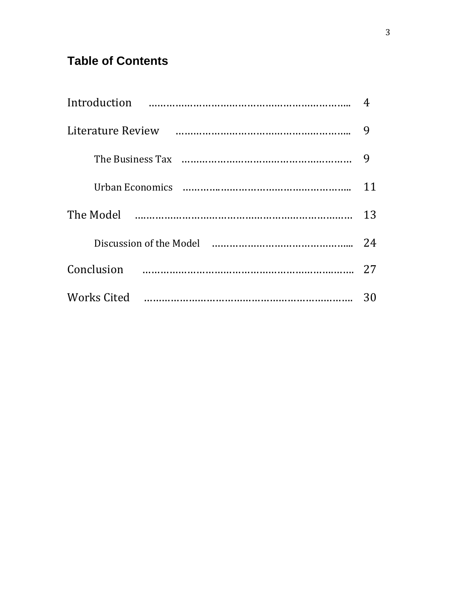# **Table of Contents**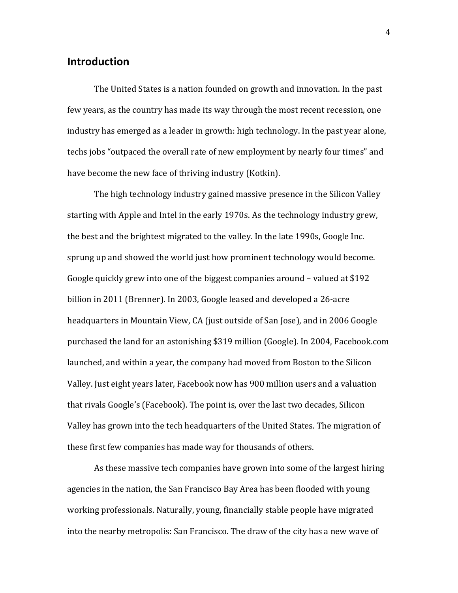# **Introduction**

The United States is a nation founded on growth and innovation. In the past few years, as the country has made its way through the most recent recession, one industry has emerged as a leader in growth: high technology. In the past year alone, techs jobs "outpaced the overall rate of new employment by nearly four times" and have become the new face of thriving industry (Kotkin).

The high technology industry gained massive presence in the Silicon Valley starting with Apple and Intel in the early 1970s. As the technology industry grew, the best and the brightest migrated to the valley. In the late 1990s, Google Inc. sprung up and showed the world just how prominent technology would become. Google quickly grew into one of the biggest companies around – valued at \$192 billion in 2011 (Brenner). In 2003, Google leased and developed a 26-acre headquarters in Mountain View, CA (just outside of San Jose), and in 2006 Google purchased the land for an astonishing \$319 million (Google). In 2004, Facebook.com launched, and within a year, the company had moved from Boston to the Silicon Valley. Just eight years later, Facebook now has 900 million users and a valuation that rivals Google's (Facebook). The point is, over the last two decades, Silicon Valley has grown into the tech headquarters of the United States. The migration of these first few companies has made way for thousands of others.

As these massive tech companies have grown into some of the largest hiring agencies in the nation, the San Francisco Bay Area has been flooded with young working professionals. Naturally, young, financially stable people have migrated into the nearby metropolis: San Francisco. The draw of the city has a new wave of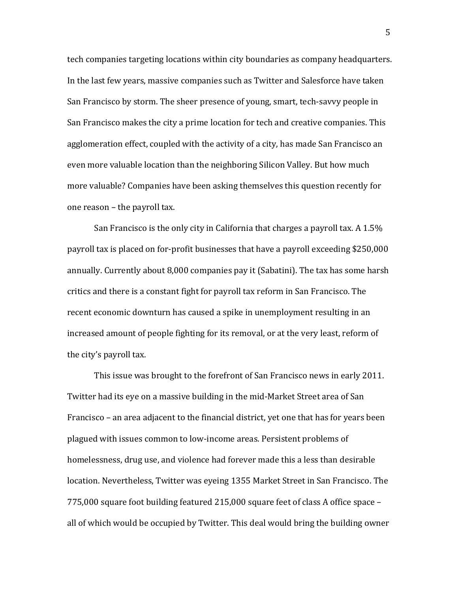tech companies targeting locations within city boundaries as company headquarters. In the last few years, massive companies such as Twitter and Salesforce have taken San Francisco by storm. The sheer presence of young, smart, tech-savvy people in San Francisco makes the city a prime location for tech and creative companies. This agglomeration effect, coupled with the activity of a city, has made San Francisco an even more valuable location than the neighboring Silicon Valley. But how much more valuable? Companies have been asking themselves this question recently for one reason – the payroll tax.

San Francisco is the only city in California that charges a payroll tax. A 1.5% payroll tax is placed on for-profit businesses that have a payroll exceeding \$250,000 annually. Currently about 8,000 companies pay it (Sabatini). The tax has some harsh critics and there is a constant fight for payroll tax reform in San Francisco. The recent economic downturn has caused a spike in unemployment resulting in an increased amount of people fighting for its removal, or at the very least, reform of the city's payroll tax.

This issue was brought to the forefront of San Francisco news in early 2011. Twitter had its eye on a massive building in the mid-Market Street area of San Francisco – an area adjacent to the financial district, yet one that has for years been plagued with issues common to low-income areas. Persistent problems of homelessness, drug use, and violence had forever made this a less than desirable location. Nevertheless, Twitter was eyeing 1355 Market Street in San Francisco. The 775,000 square foot building featured 215,000 square feet of class A office space – all of which would be occupied by Twitter. This deal would bring the building owner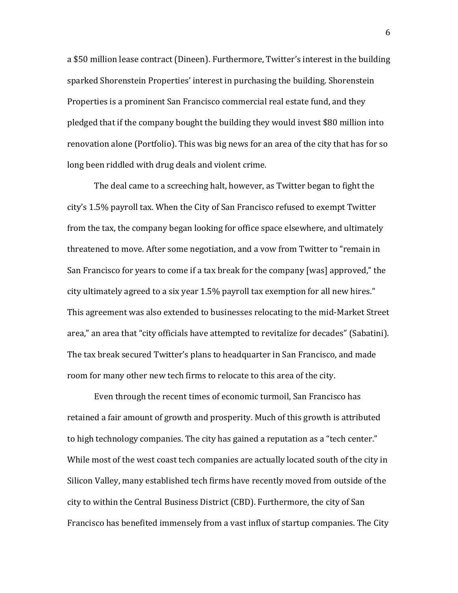a \$50 million lease contract (Dineen). Furthermore, Twitter's interest in the building sparked Shorenstein Properties' interest in purchasing the building. Shorenstein Properties is a prominent San Francisco commercial real estate fund, and they pledged that if the company bought the building they would invest \$80 million into renovation alone (Portfolio). This was big news for an area of the city that has for so long been riddled with drug deals and violent crime.

The deal came to a screeching halt, however, as Twitter began to fight the city's 1.5% payroll tax. When the City of San Francisco refused to exempt Twitter from the tax, the company began looking for office space elsewhere, and ultimately threatened to move. After some negotiation, and a vow from Twitter to "remain in San Francisco for years to come if a tax break for the company [was] approved," the city ultimately agreed to a six year 1.5% payroll tax exemption for all new hires." This agreement was also extended to businesses relocating to the mid-Market Street area," an area that "city officials have attempted to revitalize for decades" (Sabatini). The tax break secured Twitter's plans to headquarter in San Francisco, and made room for many other new tech firms to relocate to this area of the city.

Even through the recent times of economic turmoil, San Francisco has retained a fair amount of growth and prosperity. Much of this growth is attributed to high technology companies. The city has gained a reputation as a "tech center." While most of the west coast tech companies are actually located south of the city in Silicon Valley, many established tech firms have recently moved from outside of the city to within the Central Business District (CBD). Furthermore, the city of San Francisco has benefited immensely from a vast influx of startup companies. The City

6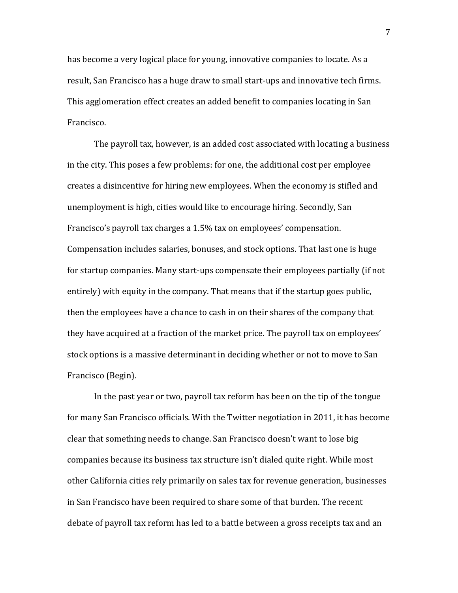has become a very logical place for young, innovative companies to locate. As a result, San Francisco has a huge draw to small start-ups and innovative tech firms. This agglomeration effect creates an added benefit to companies locating in San Francisco.

The payroll tax, however, is an added cost associated with locating a business in the city. This poses a few problems: for one, the additional cost per employee creates a disincentive for hiring new employees. When the economy is stifled and unemployment is high, cities would like to encourage hiring. Secondly, San Francisco's payroll tax charges a 1.5% tax on employees' compensation. Compensation includes salaries, bonuses, and stock options. That last one is huge for startup companies. Many start-ups compensate their employees partially (if not entirely) with equity in the company. That means that if the startup goes public, then the employees have a chance to cash in on their shares of the company that they have acquired at a fraction of the market price. The payroll tax on employees' stock options is a massive determinant in deciding whether or not to move to San Francisco (Begin).

In the past year or two, payroll tax reform has been on the tip of the tongue for many San Francisco officials. With the Twitter negotiation in 2011, it has become clear that something needs to change. San Francisco doesn't want to lose big companies because its business tax structure isn't dialed quite right. While most other California cities rely primarily on sales tax for revenue generation, businesses in San Francisco have been required to share some of that burden. The recent debate of payroll tax reform has led to a battle between a gross receipts tax and an

7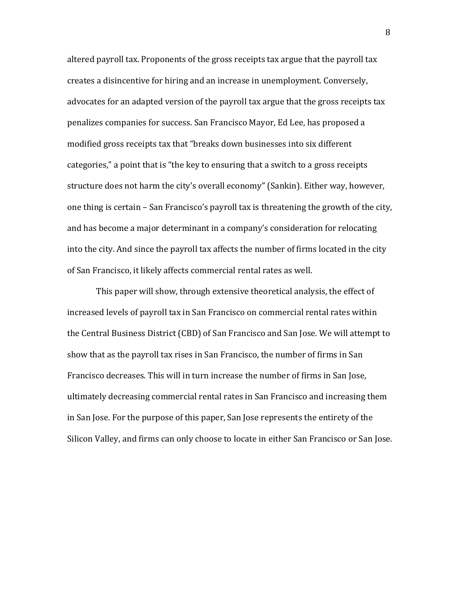altered payroll tax. Proponents of the gross receipts tax argue that the payroll tax creates a disincentive for hiring and an increase in unemployment. Conversely, advocates for an adapted version of the payroll tax argue that the gross receipts tax penalizes companies for success. San Francisco Mayor, Ed Lee, has proposed a modified gross receipts tax that "breaks down businesses into six different categories," a point that is "the key to ensuring that a switch to a gross receipts structure does not harm the city's overall economy" (Sankin). Either way, however, one thing is certain – San Francisco's payroll tax is threatening the growth of the city, and has become a major determinant in a company's consideration for relocating into the city. And since the payroll tax affects the number of firms located in the city of San Francisco, it likely affects commercial rental rates as well.

This paper will show, through extensive theoretical analysis, the effect of increased levels of payroll tax in San Francisco on commercial rental rates within the Central Business District (CBD) of San Francisco and San Jose. We will attempt to show that as the payroll tax rises in San Francisco, the number of firms in San Francisco decreases. This will in turn increase the number of firms in San Jose, ultimately decreasing commercial rental rates in San Francisco and increasing them in San Jose. For the purpose of this paper, San Jose represents the entirety of the Silicon Valley, and firms can only choose to locate in either San Francisco or San Jose.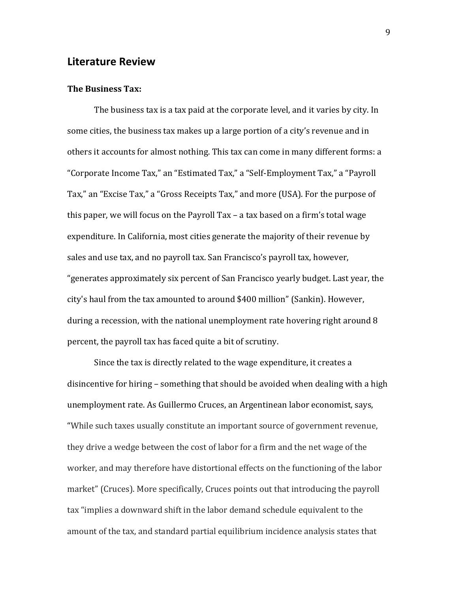#### **Literature Review**

#### **The Business Tax:**

The business tax is a tax paid at the corporate level, and it varies by city. In some cities, the business tax makes up a large portion of a city's revenue and in others it accounts for almost nothing. This tax can come in many different forms: a "Corporate Income Tax," an "Estimated Tax," a "Self-Employment Tax," a "Payroll Tax," an "Excise Tax," a "Gross Receipts Tax," and more (USA). For the purpose of this paper, we will focus on the Payroll Tax – a tax based on a firm's total wage expenditure. In California, most cities generate the majority of their revenue by sales and use tax, and no payroll tax. San Francisco's payroll tax, however, "generates approximately six percent of San Francisco yearly budget. Last year, the city's haul from the tax amounted to around \$400 million" (Sankin). However, during a recession, with the national unemployment rate hovering right around 8 percent, the payroll tax has faced quite a bit of scrutiny.

Since the tax is directly related to the wage expenditure, it creates a disincentive for hiring – something that should be avoided when dealing with a high unemployment rate. As Guillermo Cruces, an Argentinean labor economist, says, "While such taxes usually constitute an important source of government revenue, they drive a wedge between the cost of labor for a firm and the net wage of the worker, and may therefore have distortional effects on the functioning of the labor market" (Cruces). More specifically, Cruces points out that introducing the payroll tax "implies a downward shift in the labor demand schedule equivalent to the amount of the tax, and standard partial equilibrium incidence analysis states that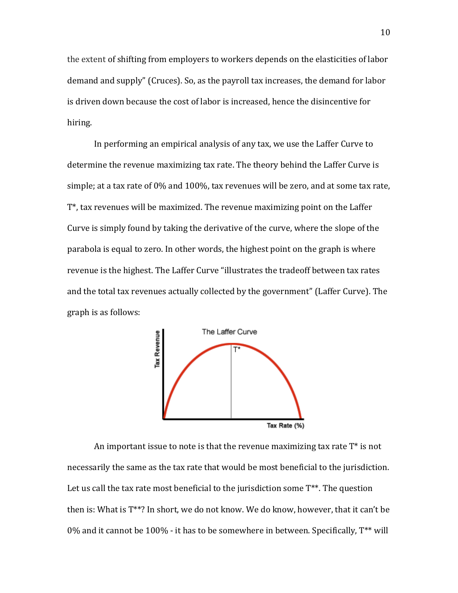the extent of shifting from employers to workers depends on the elasticities of labor demand and supply" (Cruces). So, as the payroll tax increases, the demand for labor is driven down because the cost of labor is increased, hence the disincentive for hiring.

In performing an empirical analysis of any tax, we use the Laffer Curve to determine the revenue maximizing tax rate. The theory behind the Laffer Curve is simple; at a tax rate of 0% and 100%, tax revenues will be zero, and at some tax rate, T\*, tax revenues will be maximized. The revenue maximizing point on the Laffer Curve is simply found by taking the derivative of the curve, where the slope of the parabola is equal to zero. In other words, the highest point on the graph is where revenue is the highest. The Laffer Curve "illustrates the tradeoff between tax rates and the total tax revenues actually collected by the government" (Laffer Curve). The graph is as follows:



An important issue to note is that the revenue maximizing tax rate  $T^*$  is not necessarily the same as the tax rate that would be most beneficial to the jurisdiction. Let us call the tax rate most beneficial to the jurisdiction some  $T^{**}$ . The question then is: What is T\*\*? In short, we do not know. We do know, however, that it can't be 0% and it cannot be 100% - it has to be somewhere in between. Specifically, T\*\* will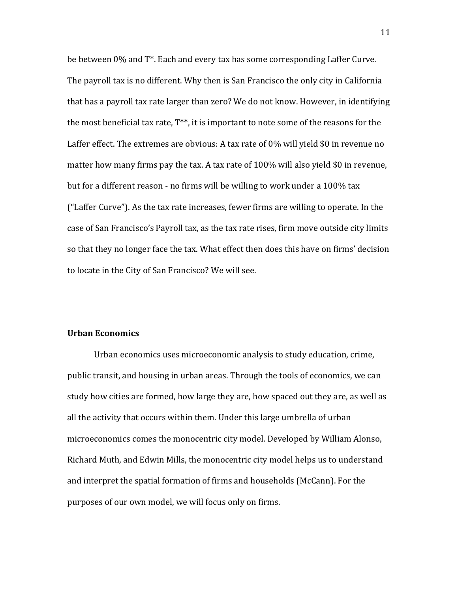be between 0% and T\*. Each and every tax has some corresponding Laffer Curve. The payroll tax is no different. Why then is San Francisco the only city in California that has a payroll tax rate larger than zero? We do not know. However, in identifying the most beneficial tax rate, T\*\*, it is important to note some of the reasons for the Laffer effect. The extremes are obvious: A tax rate of 0% will yield \$0 in revenue no matter how many firms pay the tax. A tax rate of 100% will also yield \$0 in revenue, but for a different reason - no firms will be willing to work under a 100% tax ("Laffer Curve"). As the tax rate increases, fewer firms are willing to operate. In the case of San Francisco's Payroll tax, as the tax rate rises, firm move outside city limits so that they no longer face the tax. What effect then does this have on firms' decision to locate in the City of San Francisco? We will see.

#### **Urban Economics**

Urban economics uses microeconomic analysis to study education, crime, public transit, and housing in urban areas. Through the tools of economics, we can study how cities are formed, how large they are, how spaced out they are, as well as all the activity that occurs within them. Under this large umbrella of urban microeconomics comes the monocentric city model. Developed by William Alonso, Richard Muth, and Edwin Mills, the monocentric city model helps us to understand and interpret the spatial formation of firms and households (McCann). For the purposes of our own model, we will focus only on firms.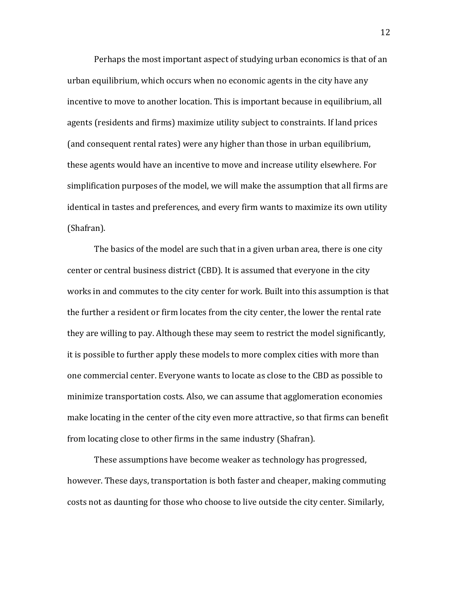Perhaps the most important aspect of studying urban economics is that of an urban equilibrium, which occurs when no economic agents in the city have any incentive to move to another location. This is important because in equilibrium, all agents (residents and firms) maximize utility subject to constraints. If land prices (and consequent rental rates) were any higher than those in urban equilibrium, these agents would have an incentive to move and increase utility elsewhere. For simplification purposes of the model, we will make the assumption that all firms are identical in tastes and preferences, and every firm wants to maximize its own utility (Shafran).

The basics of the model are such that in a given urban area, there is one city center or central business district (CBD). It is assumed that everyone in the city works in and commutes to the city center for work. Built into this assumption is that the further a resident or firm locates from the city center, the lower the rental rate they are willing to pay. Although these may seem to restrict the model significantly, it is possible to further apply these models to more complex cities with more than one commercial center. Everyone wants to locate as close to the CBD as possible to minimize transportation costs. Also, we can assume that agglomeration economies make locating in the center of the city even more attractive, so that firms can benefit from locating close to other firms in the same industry (Shafran).

These assumptions have become weaker as technology has progressed, however. These days, transportation is both faster and cheaper, making commuting costs not as daunting for those who choose to live outside the city center. Similarly,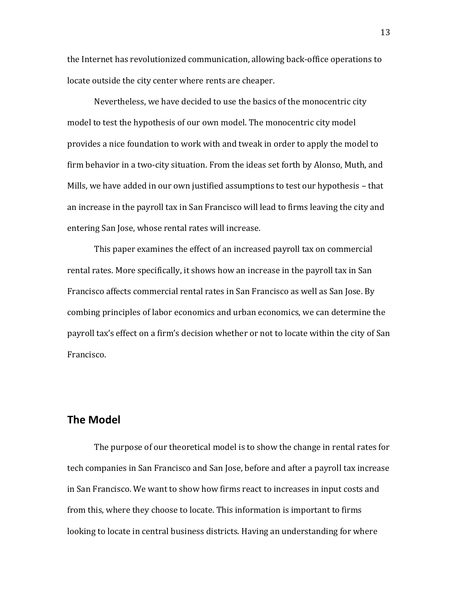the Internet has revolutionized communication, allowing back-office operations to locate outside the city center where rents are cheaper.

Nevertheless, we have decided to use the basics of the monocentric city model to test the hypothesis of our own model. The monocentric city model provides a nice foundation to work with and tweak in order to apply the model to firm behavior in a two-city situation. From the ideas set forth by Alonso, Muth, and Mills, we have added in our own justified assumptions to test our hypothesis – that an increase in the payroll tax in San Francisco will lead to firms leaving the city and entering San Jose, whose rental rates will increase.

This paper examines the effect of an increased payroll tax on commercial rental rates. More specifically, it shows how an increase in the payroll tax in San Francisco affects commercial rental rates in San Francisco as well as San Jose. By combing principles of labor economics and urban economics, we can determine the payroll tax's effect on a firm's decision whether or not to locate within the city of San Francisco.

#### **The Model**

The purpose of our theoretical model is to show the change in rental rates for tech companies in San Francisco and San Jose, before and after a payroll tax increase in San Francisco. We want to show how firms react to increases in input costs and from this, where they choose to locate. This information is important to firms looking to locate in central business districts. Having an understanding for where

13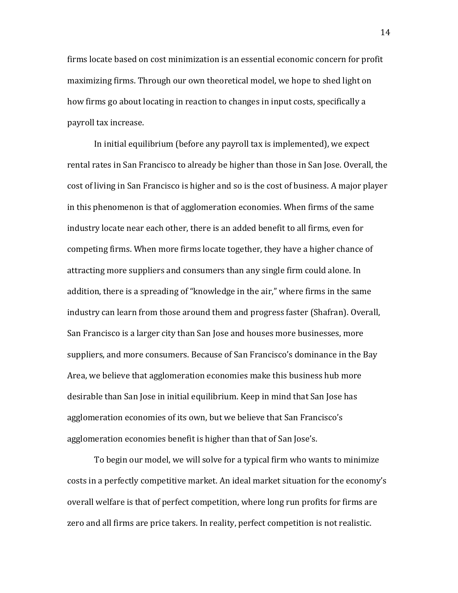firms locate based on cost minimization is an essential economic concern for profit maximizing firms. Through our own theoretical model, we hope to shed light on how firms go about locating in reaction to changes in input costs, specifically a payroll tax increase.

In initial equilibrium (before any payroll tax is implemented), we expect rental rates in San Francisco to already be higher than those in San Jose. Overall, the cost of living in San Francisco is higher and so is the cost of business. A major player in this phenomenon is that of agglomeration economies. When firms of the same industry locate near each other, there is an added benefit to all firms, even for competing firms. When more firms locate together, they have a higher chance of attracting more suppliers and consumers than any single firm could alone. In addition, there is a spreading of "knowledge in the air," where firms in the same industry can learn from those around them and progress faster (Shafran). Overall, San Francisco is a larger city than San Jose and houses more businesses, more suppliers, and more consumers. Because of San Francisco's dominance in the Bay Area, we believe that agglomeration economies make this business hub more desirable than San Jose in initial equilibrium. Keep in mind that San Jose has agglomeration economies of its own, but we believe that San Francisco's agglomeration economies benefit is higher than that of San Jose's.

To begin our model, we will solve for a typical firm who wants to minimize costs in a perfectly competitive market. An ideal market situation for the economy's overall welfare is that of perfect competition, where long run profits for firms are zero and all firms are price takers. In reality, perfect competition is not realistic.

14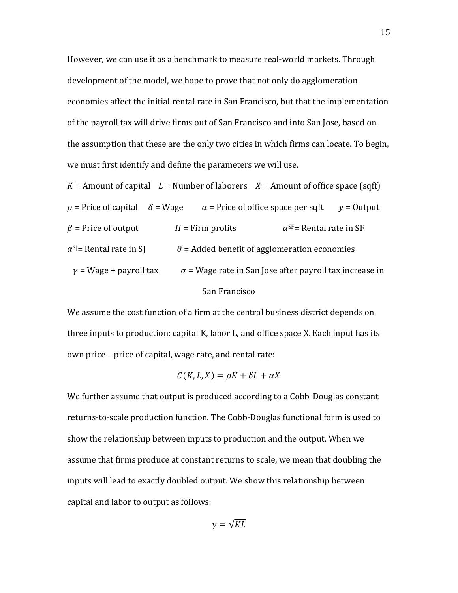However, we can use it as a benchmark to measure real-world markets. Through development of the model, we hope to prove that not only do agglomeration economies affect the initial rental rate in San Francisco, but that the implementation of the payroll tax will drive firms out of San Francisco and into San Jose, based on the assumption that these are the only two cities in which firms can locate. To begin, we must first identify and define the parameters we will use.

 $K =$  Amount of capital  $L =$  Number of laborers  $X =$  Amount of office space (sqft)  $\rho =$  Price of capital  $\delta = W$ age  $\alpha =$  Price of office space per sqft  $v =$  Output  $\beta$  = Price of output  $\Pi$  = Firm profits  $\alpha^{SF}$  = Rental rate in SF  $\alpha^{SI}$ = Rental rate in SJ  $\theta$  = Added benefit of agglomeration economies  $y = W$ age + payroll tax  $\sigma = W$ age rate in San Jose after payroll tax increase in San Francisco

We assume the cost function of a firm at the central business district depends on three inputs to production: capital K, labor L, and office space X. Each input has its own price – price of capital, wage rate, and rental rate:

$$
C(K, L, X) = \rho K + \delta L + \alpha X
$$

We further assume that output is produced according to a Cobb-Douglas constant returns-to-scale production function. The Cobb-Douglas functional form is used to show the relationship between inputs to production and the output. When we assume that firms produce at constant returns to scale, we mean that doubling the inputs will lead to exactly doubled output. We show this relationship between capital and labor to output as follows: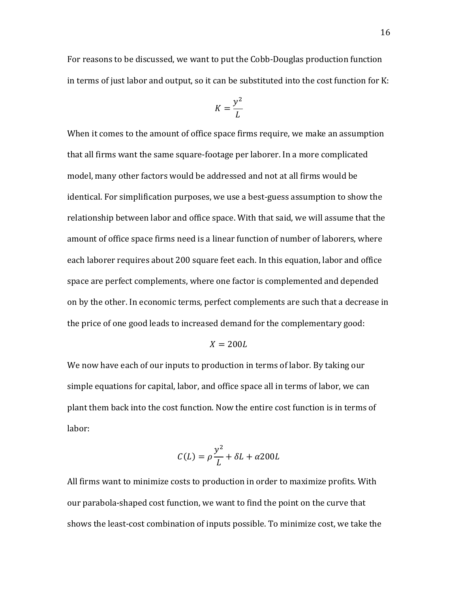For reasons to be discussed, we want to put the Cobb-Douglas production function in terms of just labor and output, so it can be substituted into the cost function for K:

$$
K = \frac{y^2}{L}
$$

When it comes to the amount of office space firms require, we make an assumption that all firms want the same square-footage per laborer. In a more complicated model, many other factors would be addressed and not at all firms would be identical. For simplification purposes, we use a best-guess assumption to show the relationship between labor and office space. With that said, we will assume that the amount of office space firms need is a linear function of number of laborers, where each laborer requires about 200 square feet each. In this equation, labor and office space are perfect complements, where one factor is complemented and depended on by the other. In economic terms, perfect complements are such that a decrease in the price of one good leads to increased demand for the complementary good:

$$
X=200L
$$

We now have each of our inputs to production in terms of labor. By taking our simple equations for capital, labor, and office space all in terms of labor, we can plant them back into the cost function. Now the entire cost function is in terms of labor:

$$
C(L) = \rho \frac{y^2}{L} + \delta L + \alpha 200L
$$

All firms want to minimize costs to production in order to maximize profits. With our parabola-shaped cost function, we want to find the point on the curve that shows the least-cost combination of inputs possible. To minimize cost, we take the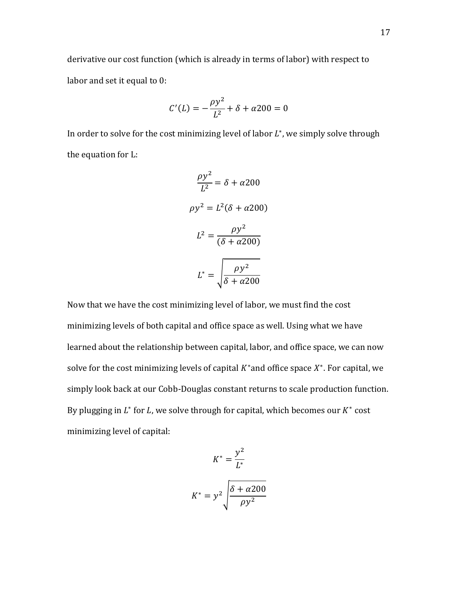derivative our cost function (which is already in terms of labor) with respect to labor and set it equal to 0:

$$
C'(L) = -\frac{\rho y^2}{L^2} + \delta + \alpha 200 = 0
$$

In order to solve for the cost minimizing level of labor  $L^*$ , we simply solve through the equation for L:

$$
\frac{\rho y^2}{L^2} = \delta + \alpha 200
$$

$$
\rho y^2 = L^2(\delta + \alpha 200)
$$

$$
L^2 = \frac{\rho y^2}{(\delta + \alpha 200)}
$$

$$
L^* = \sqrt{\frac{\rho y^2}{\delta + \alpha 200}}
$$

Now that we have the cost minimizing level of labor, we must find the cost minimizing levels of both capital and office space as well. Using what we have learned about the relationship between capital, labor, and office space, we can now solve for the cost minimizing levels of capital  $K^*$  and office space  $X^*$ . For capital, we simply look back at our Cobb-Douglas constant returns to scale production function. By plugging in  $L^*$  for L, we solve through for capital, which becomes our  $K^*$  cost minimizing level of capital:

$$
K^* = \frac{y^2}{L^*}
$$

$$
K^* = y^2 \sqrt{\frac{\delta + \alpha 200}{\rho y^2}}
$$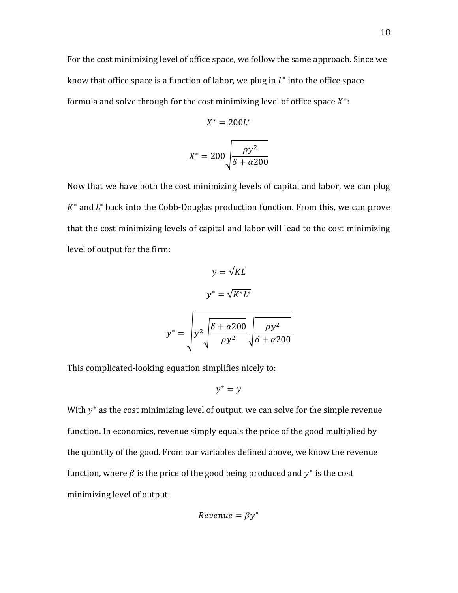For the cost minimizing level of office space, we follow the same approach. Since we know that office space is a function of labor, we plug in  $L^*$  into the office space formula and solve through for the cost minimizing level of office space  $X^*$ :

$$
X^* = 200L^*
$$

$$
X^* = 200 \sqrt{\frac{\rho y^2}{\delta + \alpha 200}}
$$

Now that we have both the cost minimizing levels of capital and labor, we can plug  $K^*$  and  $L^*$  back into the Cobb-Douglas production function. From this, we can prove that the cost minimizing levels of capital and labor will lead to the cost minimizing level of output for the firm:

$$
y = \sqrt{KL}
$$

$$
y^* = \sqrt{K^*L^*}
$$

$$
y^* = \sqrt{y^2} \sqrt{\frac{\delta + \alpha 200}{\rho y^2}} \sqrt{\frac{\rho y^2}{\delta + \alpha 200}}
$$

This complicated-looking equation simplifies nicely to:

$$
y^* = y
$$

With  $y^*$  as the cost minimizing level of output, we can solve for the simple revenue function. In economics, revenue simply equals the price of the good multiplied by the quantity of the good. From our variables defined above, we know the revenue function, where  $\beta$  is the price of the good being produced and  $y^*$  is the cost minimizing level of output:

$$
Revenue = \beta y^*
$$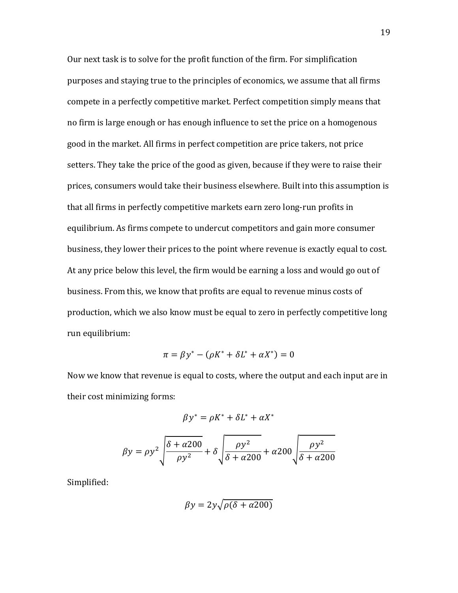Our next task is to solve for the profit function of the firm. For simplification purposes and staying true to the principles of economics, we assume that all firms compete in a perfectly competitive market. Perfect competition simply means that no firm is large enough or has enough influence to set the price on a homogenous good in the market. All firms in perfect competition are price takers, not price setters. They take the price of the good as given, because if they were to raise their prices, consumers would take their business elsewhere. Built into this assumption is that all firms in perfectly competitive markets earn zero long-run profits in equilibrium. As firms compete to undercut competitors and gain more consumer business, they lower their prices to the point where revenue is exactly equal to cost. At any price below this level, the firm would be earning a loss and would go out of business. From this, we know that profits are equal to revenue minus costs of production, which we also know must be equal to zero in perfectly competitive long run equilibrium:

$$
\pi = \beta y^* - (\rho K^* + \delta L^* + \alpha X^*) = 0
$$

Now we know that revenue is equal to costs, where the output and each input are in their cost minimizing forms:

$$
\beta y^* = \rho K^* + \delta L^* + \alpha X^*
$$

$$
\beta y = \rho y^2 \sqrt{\frac{\delta + \alpha 200}{\rho y^2}} + \delta \sqrt{\frac{\rho y^2}{\delta + \alpha 200}} + \alpha 200 \sqrt{\frac{\rho y^2}{\delta + \alpha 200}}
$$

Simplified:

$$
\beta y = 2y\sqrt{\rho(\delta + \alpha 200)}
$$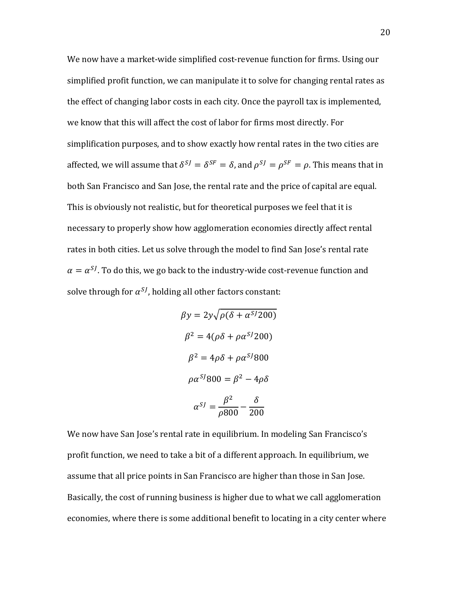We now have a market-wide simplified cost-revenue function for firms. Using our simplified profit function, we can manipulate it to solve for changing rental rates as the effect of changing labor costs in each city. Once the payroll tax is implemented, we know that this will affect the cost of labor for firms most directly. For simplification purposes, and to show exactly how rental rates in the two cities are affected, we will assume that  $\delta^{SI} = \delta^{SF} = \delta$ , and  $\rho^{SI} = \rho^{SF} = \rho$ . This means that in both San Francisco and San Jose, the rental rate and the price of capital are equal. This is obviously not realistic, but for theoretical purposes we feel that it is necessary to properly show how agglomeration economies directly affect rental rates in both cities. Let us solve through the model to find San Jose's rental rate  $\alpha = \alpha^{SI}$ . To do this, we go back to the industry-wide cost-revenue function and solve through for  $\alpha^{SJ}$ , holding all other factors constant:

$$
\beta y = 2y\sqrt{\rho(\delta + \alpha^{SJ}200)}
$$

$$
\beta^2 = 4(\rho\delta + \rho\alpha^{SJ}200)
$$

$$
\beta^2 = 4\rho\delta + \rho\alpha^{SJ}800
$$

$$
\rho\alpha^{SJ}800 = \beta^2 - 4\rho\delta
$$

$$
\alpha^{SJ} = \frac{\beta^2}{\rho 800} - \frac{\delta}{200}
$$

We now have San Jose's rental rate in equilibrium. In modeling San Francisco's profit function, we need to take a bit of a different approach. In equilibrium, we assume that all price points in San Francisco are higher than those in San Jose. Basically, the cost of running business is higher due to what we call agglomeration economies, where there is some additional benefit to locating in a city center where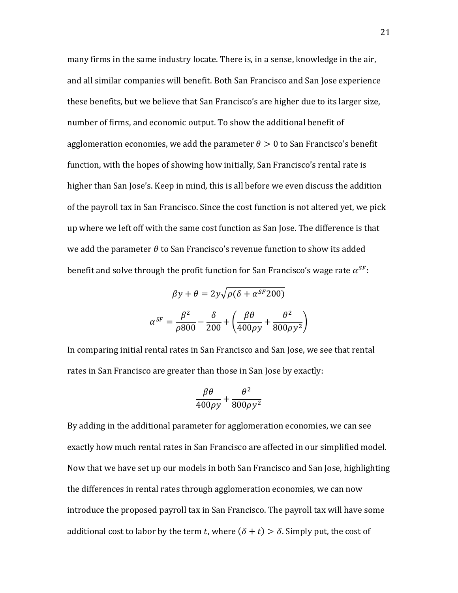many firms in the same industry locate. There is, in a sense, knowledge in the air, and all similar companies will benefit. Both San Francisco and San Jose experience these benefits, but we believe that San Francisco's are higher due to its larger size, number of firms, and economic output. To show the additional benefit of agglomeration economies, we add the parameter  $\theta > 0$  to San Francisco's benefit function, with the hopes of showing how initially, San Francisco's rental rate is higher than San Jose's. Keep in mind, this is all before we even discuss the addition of the payroll tax in San Francisco. Since the cost function is not altered yet, we pick up where we left off with the same cost function as San Jose. The difference is that we add the parameter  $\theta$  to San Francisco's revenue function to show its added benefit and solve through the profit function for San Francisco's wage rate  $\alpha^{SF}$ :

$$
\beta y + \theta = 2y\sqrt{\rho(\delta + \alpha^{SF} 200)}
$$

$$
\alpha^{SF} = \frac{\beta^2}{\rho 800} - \frac{\delta}{200} + \left(\frac{\beta \theta}{400\rho y} + \frac{\theta^2}{800\rho y^2}\right)
$$

In comparing initial rental rates in San Francisco and San Jose, we see that rental rates in San Francisco are greater than those in San Jose by exactly:

$$
\frac{\beta\theta}{400\rho y}+\frac{\theta^2}{800\rho y^2}
$$

By adding in the additional parameter for agglomeration economies, we can see exactly how much rental rates in San Francisco are affected in our simplified model. Now that we have set up our models in both San Francisco and San Jose, highlighting the differences in rental rates through agglomeration economies, we can now introduce the proposed payroll tax in San Francisco. The payroll tax will have some additional cost to labor by the term t, where  $(\delta + t) > \delta$ . Simply put, the cost of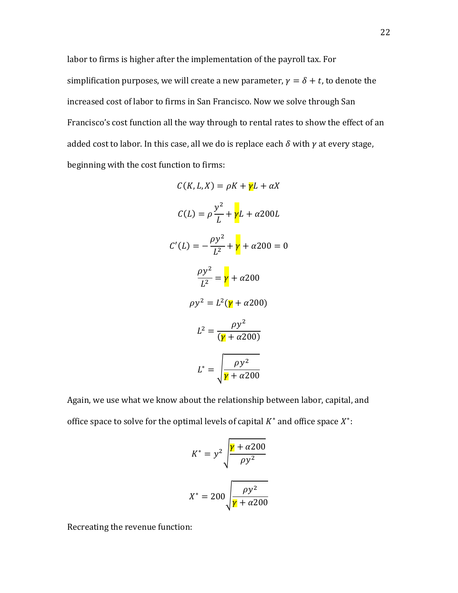labor to firms is higher after the implementation of the payroll tax. For simplification purposes, we will create a new parameter,  $\gamma = \delta + t$ , to denote the increased cost of labor to firms in San Francisco. Now we solve through San Francisco's cost function all the way through to rental rates to show the effect of an added cost to labor. In this case, all we do is replace each  $\delta$  with  $\gamma$  at every stage, beginning with the cost function to firms:

$$
C(K, L, X) = \rho K + \gamma L + \alpha X
$$

$$
C(L) = \rho \frac{y^2}{L} + \gamma L + \alpha 200L
$$

$$
C'(L) = -\frac{\rho y^2}{L^2} + \gamma + \alpha 200 = 0
$$

$$
\frac{\rho y^2}{L^2} = \gamma + \alpha 200
$$

$$
\rho y^2 = L^2(\gamma + \alpha 200)
$$

$$
L^2 = \frac{\rho y^2}{(\gamma + \alpha 200)}
$$

$$
L^* = \sqrt{\frac{\rho y^2}{\gamma + \alpha 200}}
$$

Again, we use what we know about the relationship between labor, capital, and office space to solve for the optimal levels of capital  $K^*$  and office space  $X^*$ :

$$
K^* = y^2 \sqrt{\frac{\gamma + \alpha 200}{\rho y^2}}
$$

$$
X^* = 200 \sqrt{\frac{\rho y^2}{\gamma + \alpha 200}}
$$

Recreating the revenue function: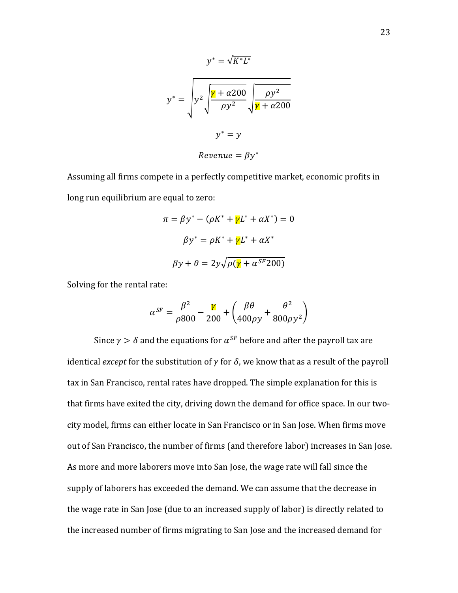$$
y^* = \sqrt{K^*L^*}
$$

$$
y^* = \sqrt{y^2 + \frac{\gamma}{\rho y^2}} \sqrt{\frac{\rho y^2}{\gamma + \alpha 200}}
$$

$$
y^* = y
$$

$$
y^* = \beta y^*
$$

Assuming all firms compete in a perfectly competitive market, economic profits in long run equilibrium are equal to zero:

$$
\pi = \beta y^* - (\rho K^* + \gamma L^* + \alpha X^*) = 0
$$

$$
\beta y^* = \rho K^* + \gamma L^* + \alpha X^*
$$

$$
\beta y + \theta = 2y\sqrt{\rho(\gamma + \alpha^{SF} 200)}
$$

Solving for the rental rate:

$$
\alpha^{SF} = \frac{\beta^2}{\rho 800} - \frac{\gamma}{200} + \left(\frac{\beta \theta}{400\rho y} + \frac{\theta^2}{800\rho y^2}\right)
$$

Since  $\gamma > \delta$  and the equations for  $\alpha^{SF}$  before and after the payroll tax are identical *except* for the substitution of  $\gamma$  for  $\delta$ , we know that as a result of the payroll tax in San Francisco, rental rates have dropped. The simple explanation for this is that firms have exited the city, driving down the demand for office space. In our twocity model, firms can either locate in San Francisco or in San Jose. When firms move out of San Francisco, the number of firms (and therefore labor) increases in San Jose. As more and more laborers move into San Jose, the wage rate will fall since the supply of laborers has exceeded the demand. We can assume that the decrease in the wage rate in San Jose (due to an increased supply of labor) is directly related to the increased number of firms migrating to San Jose and the increased demand for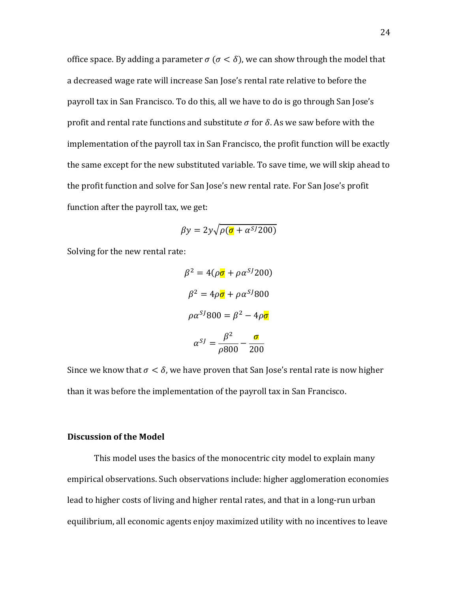office space. By adding a parameter  $\sigma$  ( $\sigma < \delta$ ), we can show through the model that a decreased wage rate will increase San Jose's rental rate relative to before the payroll tax in San Francisco. To do this, all we have to do is go through San Jose's profit and rental rate functions and substitute  $\sigma$  for  $\delta$ . As we saw before with the implementation of the payroll tax in San Francisco, the profit function will be exactly the same except for the new substituted variable. To save time, we will skip ahead to the profit function and solve for San Jose's new rental rate. For San Jose's profit function after the payroll tax, we get:

$$
\beta y = 2y\sqrt{\rho(\sigma + \alpha^{SJ}200)}
$$

Solving for the new rental rate:

$$
\beta^2 = 4(\rho \sigma + \rho \alpha^{SJ} 200)
$$

$$
\beta^2 = 4\rho \sigma + \rho \alpha^{SJ} 800
$$

$$
\rho \alpha^{SJ} 800 = \beta^2 - 4\rho \sigma
$$

$$
\alpha^{SJ} = \frac{\beta^2}{\rho 800} - \frac{\sigma}{200}
$$

Since we know that  $\sigma < \delta$ , we have proven that San Jose's rental rate is now higher than it was before the implementation of the payroll tax in San Francisco.

#### **Discussion of the Model**

This model uses the basics of the monocentric city model to explain many empirical observations. Such observations include: higher agglomeration economies lead to higher costs of living and higher rental rates, and that in a long-run urban equilibrium, all economic agents enjoy maximized utility with no incentives to leave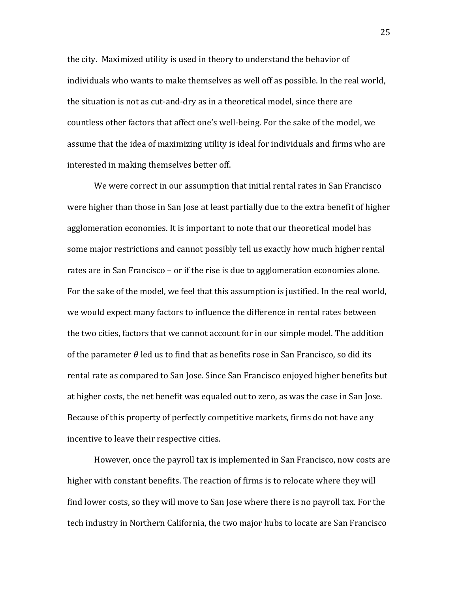the city. Maximized utility is used in theory to understand the behavior of individuals who wants to make themselves as well off as possible. In the real world, the situation is not as cut-and-dry as in a theoretical model, since there are countless other factors that affect one's well-being. For the sake of the model, we assume that the idea of maximizing utility is ideal for individuals and firms who are interested in making themselves better off.

We were correct in our assumption that initial rental rates in San Francisco were higher than those in San Jose at least partially due to the extra benefit of higher agglomeration economies. It is important to note that our theoretical model has some major restrictions and cannot possibly tell us exactly how much higher rental rates are in San Francisco – or if the rise is due to agglomeration economies alone. For the sake of the model, we feel that this assumption is justified. In the real world, we would expect many factors to influence the difference in rental rates between the two cities, factors that we cannot account for in our simple model. The addition of the parameter  $\theta$  led us to find that as benefits rose in San Francisco, so did its rental rate as compared to San Jose. Since San Francisco enjoyed higher benefits but at higher costs, the net benefit was equaled out to zero, as was the case in San Jose. Because of this property of perfectly competitive markets, firms do not have any incentive to leave their respective cities.

However, once the payroll tax is implemented in San Francisco, now costs are higher with constant benefits. The reaction of firms is to relocate where they will find lower costs, so they will move to San Jose where there is no payroll tax. For the tech industry in Northern California, the two major hubs to locate are San Francisco

25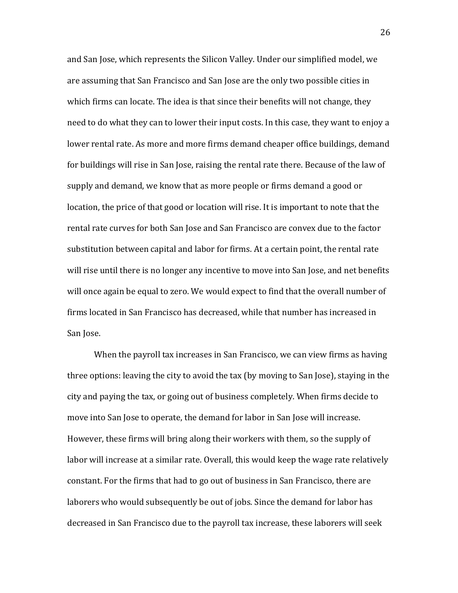and San Jose, which represents the Silicon Valley. Under our simplified model, we are assuming that San Francisco and San Jose are the only two possible cities in which firms can locate. The idea is that since their benefits will not change, they need to do what they can to lower their input costs. In this case, they want to enjoy a lower rental rate. As more and more firms demand cheaper office buildings, demand for buildings will rise in San Jose, raising the rental rate there. Because of the law of supply and demand, we know that as more people or firms demand a good or location, the price of that good or location will rise. It is important to note that the rental rate curves for both San Jose and San Francisco are convex due to the factor substitution between capital and labor for firms. At a certain point, the rental rate will rise until there is no longer any incentive to move into San Jose, and net benefits will once again be equal to zero. We would expect to find that the overall number of firms located in San Francisco has decreased, while that number has increased in San Jose.

When the payroll tax increases in San Francisco, we can view firms as having three options: leaving the city to avoid the tax (by moving to San Jose), staying in the city and paying the tax, or going out of business completely. When firms decide to move into San Jose to operate, the demand for labor in San Jose will increase. However, these firms will bring along their workers with them, so the supply of labor will increase at a similar rate. Overall, this would keep the wage rate relatively constant. For the firms that had to go out of business in San Francisco, there are laborers who would subsequently be out of jobs. Since the demand for labor has decreased in San Francisco due to the payroll tax increase, these laborers will seek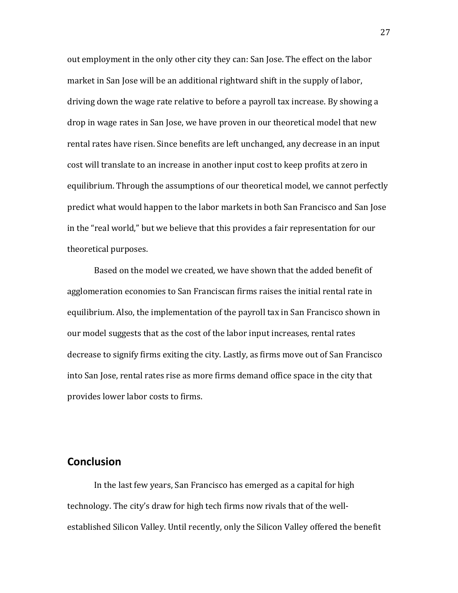out employment in the only other city they can: San Jose. The effect on the labor market in San Jose will be an additional rightward shift in the supply of labor, driving down the wage rate relative to before a payroll tax increase. By showing a drop in wage rates in San Jose, we have proven in our theoretical model that new rental rates have risen. Since benefits are left unchanged, any decrease in an input cost will translate to an increase in another input cost to keep profits at zero in equilibrium. Through the assumptions of our theoretical model, we cannot perfectly predict what would happen to the labor markets in both San Francisco and San Jose in the "real world," but we believe that this provides a fair representation for our theoretical purposes.

Based on the model we created, we have shown that the added benefit of agglomeration economies to San Franciscan firms raises the initial rental rate in equilibrium. Also, the implementation of the payroll tax in San Francisco shown in our model suggests that as the cost of the labor input increases, rental rates decrease to signify firms exiting the city. Lastly, as firms move out of San Francisco into San Jose, rental rates rise as more firms demand office space in the city that provides lower labor costs to firms.

### **Conclusion**

In the last few years, San Francisco has emerged as a capital for high technology. The city's draw for high tech firms now rivals that of the wellestablished Silicon Valley. Until recently, only the Silicon Valley offered the benefit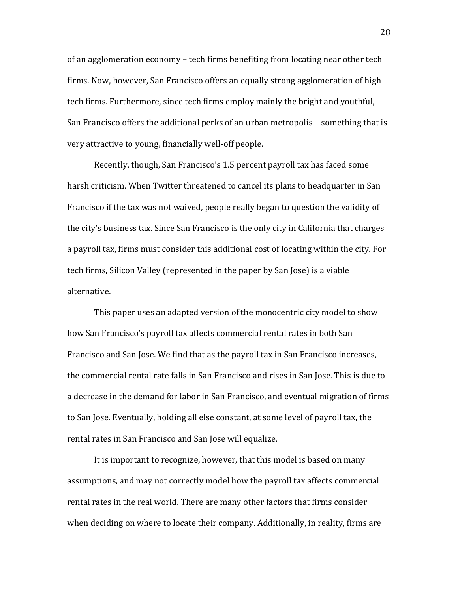of an agglomeration economy – tech firms benefiting from locating near other tech firms. Now, however, San Francisco offers an equally strong agglomeration of high tech firms. Furthermore, since tech firms employ mainly the bright and youthful, San Francisco offers the additional perks of an urban metropolis – something that is very attractive to young, financially well-off people.

Recently, though, San Francisco's 1.5 percent payroll tax has faced some harsh criticism. When Twitter threatened to cancel its plans to headquarter in San Francisco if the tax was not waived, people really began to question the validity of the city's business tax. Since San Francisco is the only city in California that charges a payroll tax, firms must consider this additional cost of locating within the city. For tech firms, Silicon Valley (represented in the paper by San Jose) is a viable alternative.

This paper uses an adapted version of the monocentric city model to show how San Francisco's payroll tax affects commercial rental rates in both San Francisco and San Jose. We find that as the payroll tax in San Francisco increases, the commercial rental rate falls in San Francisco and rises in San Jose. This is due to a decrease in the demand for labor in San Francisco, and eventual migration of firms to San Jose. Eventually, holding all else constant, at some level of payroll tax, the rental rates in San Francisco and San Jose will equalize.

It is important to recognize, however, that this model is based on many assumptions, and may not correctly model how the payroll tax affects commercial rental rates in the real world. There are many other factors that firms consider when deciding on where to locate their company. Additionally, in reality, firms are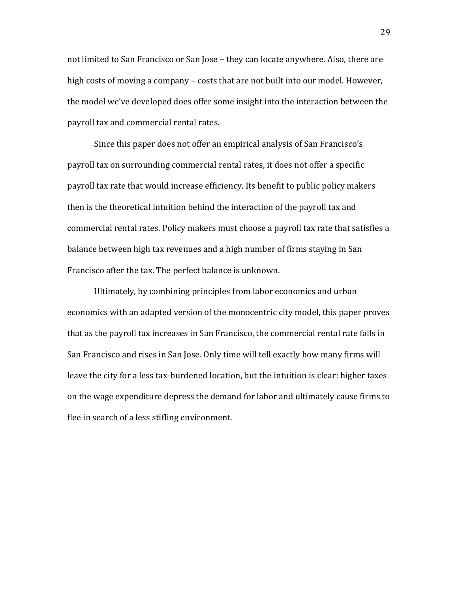not limited to San Francisco or San Jose – they can locate anywhere. Also, there are high costs of moving a company – costs that are not built into our model. However, the model we've developed does offer some insight into the interaction between the payroll tax and commercial rental rates.

Since this paper does not offer an empirical analysis of San Francisco's payroll tax on surrounding commercial rental rates, it does not offer a specific payroll tax rate that would increase efficiency. Its benefit to public policy makers then is the theoretical intuition behind the interaction of the payroll tax and commercial rental rates. Policy makers must choose a payroll tax rate that satisfies a balance between high tax revenues and a high number of firms staying in San Francisco after the tax. The perfect balance is unknown.

Ultimately, by combining principles from labor economics and urban economics with an adapted version of the monocentric city model, this paper proves that as the payroll tax increases in San Francisco, the commercial rental rate falls in San Francisco and rises in San Jose. Only time will tell exactly how many firms will leave the city for a less tax-burdened location, but the intuition is clear: higher taxes on the wage expenditure depress the demand for labor and ultimately cause firms to flee in search of a less stifling environment.

29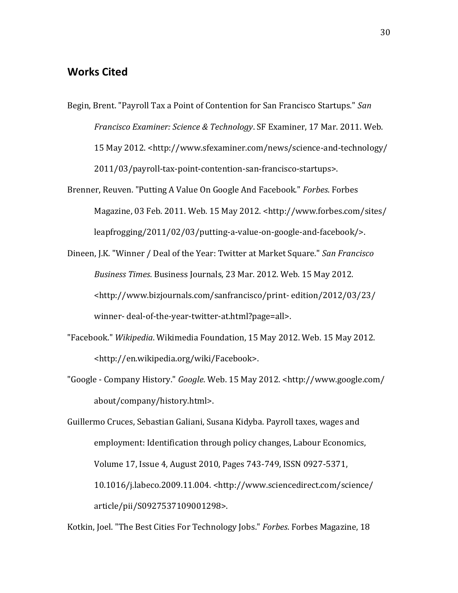## **Works Cited**

- Begin, Brent. "Payroll Tax a Point of Contention for San Francisco Startups." *San Francisco Examiner: Science & Technology*. SF Examiner, 17 Mar. 2011. Web. 15 May 2012. <http://www.sfexaminer.com/news/science-and-technology/ 2011/03/payroll-tax-point-contention-san-francisco-startups>.
- Brenner, Reuven. "Putting A Value On Google And Facebook." *Forbes*. Forbes Magazine, 03 Feb. 2011. Web. 15 May 2012. <http://www.forbes.com/sites/ leapfrogging/2011/02/03/putting-a-value-on-google-and-facebook/>.
- Dineen, J.K. "Winner / Deal of the Year: Twitter at Market Square." *San Francisco Business Times*. Business Journals, 23 Mar. 2012. Web. 15 May 2012. <http://www.bizjournals.com/sanfrancisco/print- edition/2012/03/23/ winner- deal-of-the-year-twitter-at.html?page=all>.
- "Facebook." *Wikipedia*. Wikimedia Foundation, 15 May 2012. Web. 15 May 2012. <http://en.wikipedia.org/wiki/Facebook>.
- "Google Company History." *Google*. Web. 15 May 2012. <http://www.google.com/ about/company/history.html>.
- Guillermo Cruces, Sebastian Galiani, Susana Kidyba. Payroll taxes, wages and employment: Identification through policy changes, Labour Economics, Volume 17, Issue 4, August 2010, Pages 743-749, ISSN 0927-5371, 10.1016/j.labeco.2009.11.004. <http://www.sciencedirect.com/science/ article/pii/S0927537109001298>.

Kotkin, Joel. "The Best Cities For Technology Jobs." *Forbes*. Forbes Magazine, 18